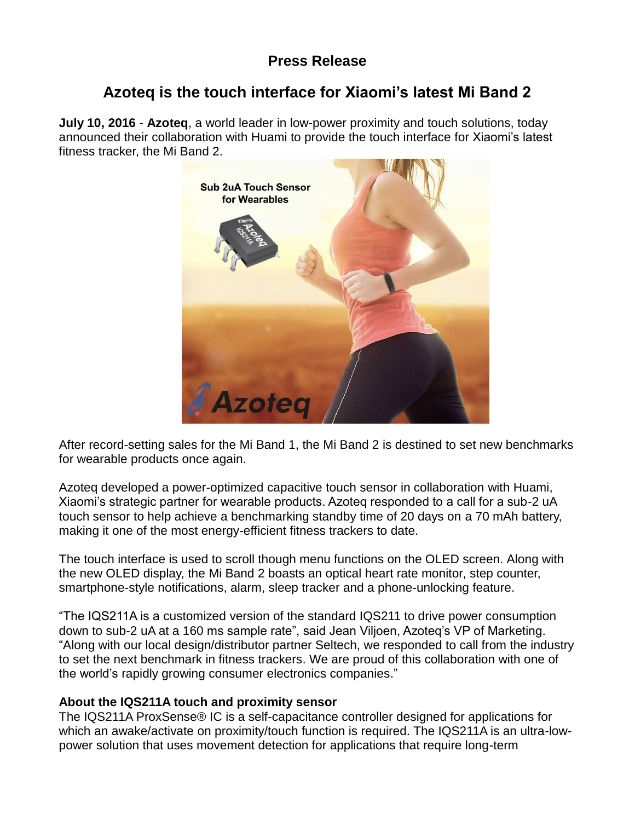# **Press Release**

# **Azoteq is the touch interface for Xiaomi's latest Mi Band 2**

**July 10, 2016** - **Azoteq**, a world leader in low-power proximity and touch solutions, today announced their collaboration with Huami to provide the touch interface for Xiaomi's latest fitness tracker, the Mi Band 2.



After record-setting sales for the Mi Band 1, the Mi Band 2 is destined to set new benchmarks for wearable products once again.

Azoteq developed a power-optimized capacitive touch sensor in collaboration with Huami, Xiaomi's strategic partner for wearable products. Azoteq responded to a call for a sub-2 uA touch sensor to help achieve a benchmarking standby time of 20 days on a 70 mAh battery, making it one of the most energy-efficient fitness trackers to date.

The touch interface is used to scroll though menu functions on the OLED screen. Along with the new OLED display, the Mi Band 2 boasts an optical heart rate monitor, step counter, smartphone-style notifications, alarm, sleep tracker and a phone-unlocking feature.

"The IQS211A is a customized version of the standard IQS211 to drive power consumption down to sub-2 uA at a 160 ms sample rate", said Jean Viljoen, Azoteq's VP of Marketing. "Along with our local design/distributor partner Seltech, we responded to call from the industry to set the next benchmark in fitness trackers. We are proud of this collaboration with one of the world's rapidly growing consumer electronics companies."

#### **About the IQS211A touch and proximity sensor**

The IQS211A ProxSense® IC is a self-capacitance controller designed for applications for which an awake/activate on proximity/touch function is required. The IQS211A is an ultra-lowpower solution that uses movement detection for applications that require long-term